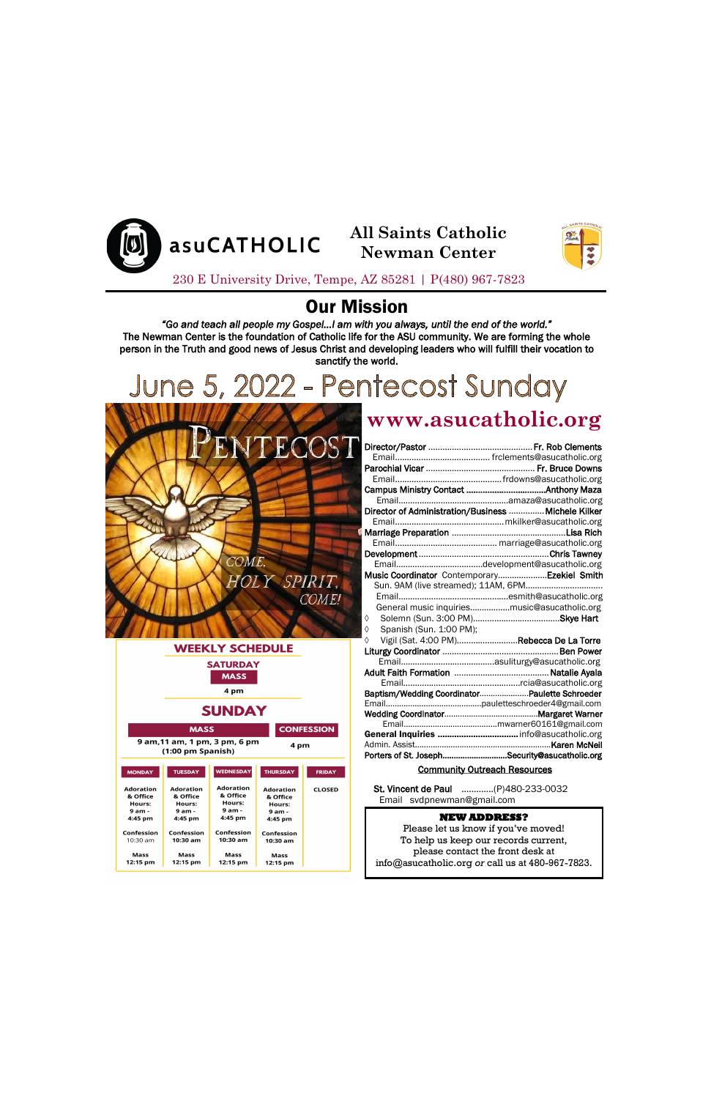## Our Mission

*"Go and teach all people my Gospel…I am with you always, until the end of the world."*  The Newman Center is the foundation of Catholic life for the ASU community. We are forming the whole person in the Truth and good news of Jesus Christ and developing leaders who will fulfill their vocation to sanctify the world.

# June 5, 2022 - Pentecost Sunday



|                                        |                                        | <b>WEEKLY SCHEDULE</b>                 |  |                                        |                   |
|----------------------------------------|----------------------------------------|----------------------------------------|--|----------------------------------------|-------------------|
| <b>SATURDAY</b><br><b>MASS</b>         |                                        |                                        |  |                                        |                   |
|                                        |                                        | 4 pm                                   |  |                                        |                   |
|                                        |                                        | <b>SUNDAY</b>                          |  |                                        |                   |
|                                        | <b>MASS</b>                            |                                        |  |                                        | <b>CONFESSION</b> |
|                                        | (1:00 pm Spanish)                      | 9 am, 11 am, 1 pm, 3 pm, 6 pm          |  | 4 pm                                   |                   |
| <b>MONDAY</b>                          | <b>TUESDAY</b>                         | <b>WEDNESDAY</b>                       |  | <b>THURSDAY</b>                        | <b>FRIDAY</b>     |
| <b>Adoration</b><br>& Office<br>Hours: | <b>Adoration</b><br>& Office<br>Hours: | <b>Adoration</b><br>& Office<br>Hours: |  | <b>Adoration</b><br>& Office<br>Hours: | <b>CLOSED</b>     |

# **www.asucatholic.org**

| Music Coordinator Contemporary Ezekiel Smith                                                                               |  |
|----------------------------------------------------------------------------------------------------------------------------|--|
| Sun. 9AM (live streamed); 11AM, 6PM                                                                                        |  |
|                                                                                                                            |  |
| General music inquiriesmusic@asucatholic.org                                                                               |  |
| ♦                                                                                                                          |  |
| Spanish (Sun. 1:00 PM);<br>♦                                                                                               |  |
| Vigil (Sat. 4:00 PM)Rebecca De La Torre<br>♦                                                                               |  |
|                                                                                                                            |  |
|                                                                                                                            |  |
|                                                                                                                            |  |
|                                                                                                                            |  |
| Baptism/Wedding CoordinatorPaulette Schroeder                                                                              |  |
|                                                                                                                            |  |
|                                                                                                                            |  |
|                                                                                                                            |  |
| General Inquiries  info@asucatholic.org                                                                                    |  |
|                                                                                                                            |  |
| Porters of St. JosephSecurity@asucatholic.org                                                                              |  |
| <u>in the second contract of the second second contract of the second second second second second second second second</u> |  |

#### **Community Outreach Resources**

230 E University Drive, Tempe, AZ 85281 | P(480) 967-7823



**All Saints Catholic Newman Center**



 St. Vincent de Paul ….……...(P)480-233-0032 Email svdpnewman@gmail.com

| 9 am -     | 9 am -     | 9 am -     | 9 am -     |  |
|------------|------------|------------|------------|--|
| 4:45 pm    | 4:45 pm    | 4:45 pm    | 4:45 pm    |  |
| Confession | Confession | Confession | Confession |  |
| $10:30$ am | $10:30$ am | $10:30$ am | $10:30$ am |  |
| Mass       | Mass       | Mass       | Mass       |  |
| 12:15 pm   | 12:15 pm   | 12:15 pm   | 12:15 pm   |  |

#### **NEW ADDRESS?**

Please let us know if you've moved! To help us keep our records current, please contact the front desk at info@asucatholic.org *or* call us at 480-967-7823.